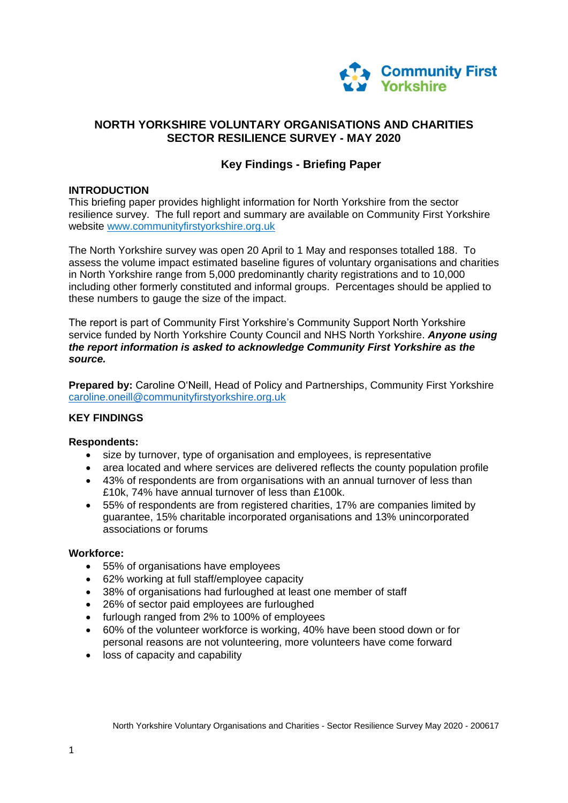

# **NORTH YORKSHIRE VOLUNTARY ORGANISATIONS AND CHARITIES SECTOR RESILIENCE SURVEY - MAY 2020**

# **Key Findings - Briefing Paper**

### **INTRODUCTION**

This briefing paper provides highlight information for North Yorkshire from the sector resilience survey. The full report and summary are available on Community First Yorkshire website [www.communityfirstyorkshire.org.uk](http://www.communityfirstyorkshire.org.uk/)

The North Yorkshire survey was open 20 April to 1 May and responses totalled 188.To assess the volume impact estimated baseline figures of voluntary organisations and charities in North Yorkshire range from 5,000 predominantly charity registrations and to 10,000 including other formerly constituted and informal groups. Percentages should be applied to these numbers to gauge the size of the impact.

The report is part of Community First Yorkshire's Community Support North Yorkshire service funded by North Yorkshire County Council and NHS North Yorkshire. *Anyone using the report information is asked to acknowledge Community First Yorkshire as the source.*

**Prepared by:** Caroline O'Neill, Head of Policy and Partnerships, Community First Yorkshire [caroline.oneill@communityfirstyorkshire.org.uk](mailto:caroline.oneill@communityfirstyorkshire.org.uk)

#### **KEY FINDINGS**

#### **Respondents:**

- size by turnover, type of organisation and employees, is representative
- area located and where services are delivered reflects the county population profile
- 43% of respondents are from organisations with an annual turnover of less than £10k, 74% have annual turnover of less than £100k.
- 55% of respondents are from registered charities, 17% are companies limited by guarantee, 15% charitable incorporated organisations and 13% unincorporated associations or forums

#### **Workforce:**

- 55% of organisations have employees
- 62% working at full staff/employee capacity
- 38% of organisations had furloughed at least one member of staff
- 26% of sector paid employees are furloughed
- furlough ranged from 2% to 100% of employees
- 60% of the volunteer workforce is working, 40% have been stood down or for personal reasons are not volunteering, more volunteers have come forward
- loss of capacity and capability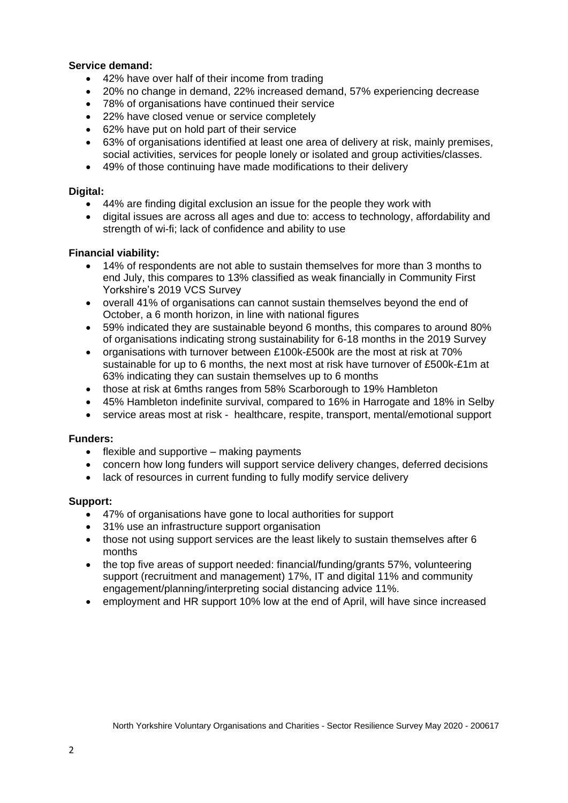### **Service demand:**

- 42% have over half of their income from trading
- 20% no change in demand, 22% increased demand, 57% experiencing decrease
- 78% of organisations have continued their service
- 22% have closed venue or service completely
- 62% have put on hold part of their service
- 63% of organisations identified at least one area of delivery at risk, mainly premises, social activities, services for people lonely or isolated and group activities/classes.
- 49% of those continuing have made modifications to their delivery

## **Digital:**

- 44% are finding digital exclusion an issue for the people they work with
- digital issues are across all ages and due to: access to technology, affordability and strength of wi-fi; lack of confidence and ability to use

### **Financial viability:**

- 14% of respondents are not able to sustain themselves for more than 3 months to end July, this compares to 13% classified as weak financially in Community First Yorkshire's 2019 VCS Survey
- overall 41% of organisations can cannot sustain themselves beyond the end of October, a 6 month horizon, in line with national figures
- 59% indicated they are sustainable beyond 6 months, this compares to around 80% of organisations indicating strong sustainability for 6-18 months in the 2019 Survey
- organisations with turnover between £100k-£500k are the most at risk at 70% sustainable for up to 6 months, the next most at risk have turnover of £500k-£1m at 63% indicating they can sustain themselves up to 6 months
- those at risk at 6mths ranges from 58% Scarborough to 19% Hambleton
- 45% Hambleton indefinite survival, compared to 16% in Harrogate and 18% in Selby
- service areas most at risk healthcare, respite, transport, mental/emotional support

### **Funders:**

- $\bullet$  flexible and supportive making payments
- concern how long funders will support service delivery changes, deferred decisions
- lack of resources in current funding to fully modify service delivery

### **Support:**

- 47% of organisations have gone to local authorities for support
- 31% use an infrastructure support organisation
- those not using support services are the least likely to sustain themselves after 6 months
- the top five areas of support needed: financial/funding/grants 57%, volunteering support (recruitment and management) 17%, IT and digital 11% and community engagement/planning/interpreting social distancing advice 11%.
- employment and HR support 10% low at the end of April, will have since increased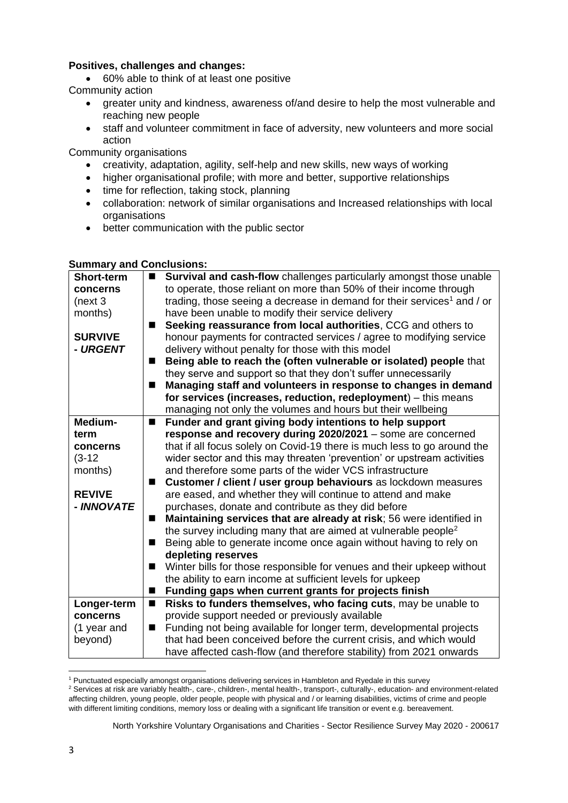## **Positives, challenges and changes:**

60% able to think of at least one positive

Community action

- greater unity and kindness, awareness of/and desire to help the most vulnerable and reaching new people
- staff and volunteer commitment in face of adversity, new volunteers and more social action

Community organisations

- creativity, adaptation, agility, self-help and new skills, new ways of working
- higher organisational profile; with more and better, supportive relationships
- time for reflection, taking stock, planning
- collaboration: network of similar organisations and Increased relationships with local organisations
- better communication with the public sector

### **Summary and Conclusions:**

| <b>Short-term</b> | Survival and cash-flow challenges particularly amongst those unable<br>$\blacksquare$ |
|-------------------|---------------------------------------------------------------------------------------|
| concerns          | to operate, those reliant on more than 50% of their income through                    |
| (new3             | trading, those seeing a decrease in demand for their services <sup>1</sup> and / or   |
| months)           | have been unable to modify their service delivery                                     |
|                   | Seeking reassurance from local authorities, CCG and others to                         |
| <b>SURVIVE</b>    | honour payments for contracted services / agree to modifying service                  |
| - URGENT          | delivery without penalty for those with this model                                    |
|                   | Being able to reach the (often vulnerable or isolated) people that<br>■               |
|                   | they serve and support so that they don't suffer unnecessarily                        |
|                   | Managing staff and volunteers in response to changes in demand                        |
|                   | for services (increases, reduction, redeployment) - this means                        |
|                   | managing not only the volumes and hours but their wellbeing                           |
| Medium-           | Funder and grant giving body intentions to help support<br>$\blacksquare$             |
| term              | response and recovery during 2020/2021 - some are concerned                           |
| concerns          | that if all focus solely on Covid-19 there is much less to go around the              |
| $(3-12)$          | wider sector and this may threaten 'prevention' or upstream activities                |
| months)           | and therefore some parts of the wider VCS infrastructure                              |
|                   | Customer / client / user group behaviours as lockdown measures<br>■                   |
| <b>REVIVE</b>     | are eased, and whether they will continue to attend and make                          |
| - INNOVATE        | purchases, donate and contribute as they did before                                   |
|                   | Maintaining services that are already at risk; 56 were identified in<br>■             |
|                   | the survey including many that are aimed at vulnerable people <sup>2</sup>            |
|                   | Being able to generate income once again without having to rely on<br>■               |
|                   | depleting reserves                                                                    |
|                   | Winter bills for those responsible for venues and their upkeep without<br>■           |
|                   |                                                                                       |
|                   | the ability to earn income at sufficient levels for upkeep                            |
|                   | Funding gaps when current grants for projects finish                                  |
| Longer-term       | Risks to funders themselves, who facing cuts, may be unable to<br>$\blacksquare$      |
| concerns          | provide support needed or previously available                                        |
| (1 year and       | Funding not being available for longer term, developmental projects<br>■              |
| beyond)           | that had been conceived before the current crisis, and which would                    |
|                   | have affected cash-flow (and therefore stability) from 2021 onwards                   |

**<sup>.</sup>** <sup>1</sup> Punctuated especially amongst organisations delivering services in Hambleton and Ryedale in this survey

<sup>2</sup> Services at risk are variably health-, care-, children-, mental health-, transport-, culturally-, education- and environment-related affecting children, young people, older people, people with physical and / or learning disabilities, victims of crime and people with different limiting conditions, memory loss or dealing with a significant life transition or event e.g. bereavement.

North Yorkshire Voluntary Organisations and Charities - Sector Resilience Survey May 2020 - 200617